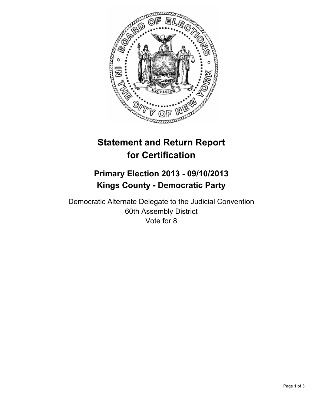

# **Statement and Return Report for Certification**

## **Primary Election 2013 - 09/10/2013 Kings County - Democratic Party**

Democratic Alternate Delegate to the Judicial Convention 60th Assembly District Vote for 8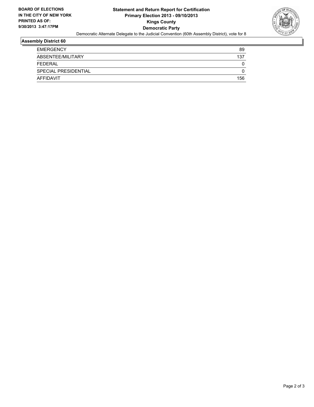

## **Assembly District 60**

| <b>EMERGENCY</b>     | 89  |
|----------------------|-----|
| ABSENTEE/MILITARY    | 137 |
| FEDERAL              | 0   |
| SPECIAL PRESIDENTIAL |     |
| AFFIDAVIT            | 156 |